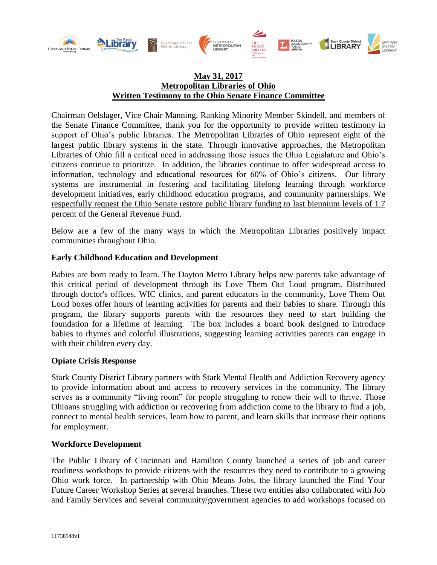

# **May 31, 2017 Metropolitan Libraries of Ohio Written Testimony to the Ohio Senate Finance Committee**

Chairman Oelslager, Vice Chair Manning, Ranking Minority Member Skindell, and members of the Senate Finance Committee, thank you for the opportunity to provide written testimony in support of Ohio's public libraries. The Metropolitan Libraries of Ohio represent eight of the largest public library systems in the state. Through innovative approaches, the Metropolitan Libraries of Ohio fill a critical need in addressing those issues the Ohio Legislature and Ohio's citizens continue to prioritize. In addition, the libraries continue to offer widespread access to information, technology and educational resources for 60% of Ohio's citizens. Our library systems are instrumental in fostering and facilitating lifelong learning through workforce development initiatives, early childhood education programs, and community partnerships. We respectfully request the Ohio Senate restore public library funding to last biennium levels of 1.7 percent of the General Revenue Fund.

Below are a few of the many ways in which the Metropolitan Libraries positively impact communities throughout Ohio.

## **Early Childhood Education and Development**

Babies are born ready to learn. The Dayton Metro Library helps new parents take advantage of this critical period of development through its Love Them Out Loud program. Distributed through doctor's offices, WIC clinics, and parent educators in the community, Love Them Out Loud boxes offer hours of learning activities for parents and their babies to share. Through this program, the library supports parents with the resources they need to start building the foundation for a lifetime of learning. The box includes a board book designed to introduce babies to rhymes and colorful illustrations, suggesting learning activities parents can engage in with their children every day.

## **Opiate Crisis Response**

Stark County District Library partners with Stark Mental Health and Addiction Recovery agency to provide information about and access to recovery services in the community. The library serves as a community "living room" for people struggling to renew their will to thrive. Those Ohioans struggling with addiction or recovering from addiction come to the library to find a job, connect to mental health services, learn how to parent, and learn skills that increase their options for employment.

## **Workforce Development**

The Public Library of Cincinnati and Hamilton County launched a series of job and career readiness workshops to provide citizens with the resources they need to contribute to a growing Ohio work force. In partnership with Ohio Means Jobs, the library launched the Find Your Future Career Workshop Series at several branches. These two entities also collaborated with Job and Family Services and several community/government agencies to add workshops focused on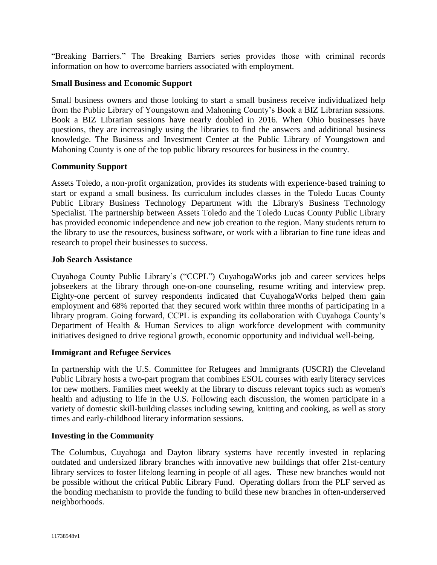"Breaking Barriers." The Breaking Barriers series provides those with criminal records information on how to overcome barriers associated with employment.

## **Small Business and Economic Support**

Small business owners and those looking to start a small business receive individualized help from the Public Library of Youngstown and Mahoning County's Book a BIZ Librarian sessions. Book a BIZ Librarian sessions have nearly doubled in 2016. When Ohio businesses have questions, they are increasingly using the libraries to find the answers and additional business knowledge. The Business and Investment Center at the Public Library of Youngstown and Mahoning County is one of the top public library resources for business in the country.

## **Community Support**

Assets Toledo, a non-profit organization, provides its students with experience-based training to start or expand a small business. Its curriculum includes classes in the Toledo Lucas County Public Library Business Technology Department with the Library's Business Technology Specialist. The partnership between Assets Toledo and the Toledo Lucas County Public Library has provided economic independence and new job creation to the region. Many students return to the library to use the resources, business software, or work with a librarian to fine tune ideas and research to propel their businesses to success.

## **Job Search Assistance**

Cuyahoga County Public Library's ("CCPL") CuyahogaWorks job and career services helps jobseekers at the library through one-on-one counseling, resume writing and interview prep. Eighty-one percent of survey respondents indicated that CuyahogaWorks helped them gain employment and 68% reported that they secured work within three months of participating in a library program. Going forward, CCPL is expanding its collaboration with Cuyahoga County's Department of Health & Human Services to align workforce development with community initiatives designed to drive regional growth, economic opportunity and individual well-being.

## **Immigrant and Refugee Services**

In partnership with the U.S. Committee for Refugees and Immigrants (USCRI) the Cleveland Public Library hosts a two-part program that combines ESOL courses with early literacy services for new mothers. Families meet weekly at the library to discuss relevant topics such as women's health and adjusting to life in the U.S. Following each discussion, the women participate in a variety of domestic skill-building classes including sewing, knitting and cooking, as well as story times and early-childhood literacy information sessions.

## **Investing in the Community**

The Columbus, Cuyahoga and Dayton library systems have recently invested in replacing outdated and undersized library branches with innovative new buildings that offer 21st-century library services to foster lifelong learning in people of all ages. These new branches would not be possible without the critical Public Library Fund. Operating dollars from the PLF served as the bonding mechanism to provide the funding to build these new branches in often-underserved neighborhoods.